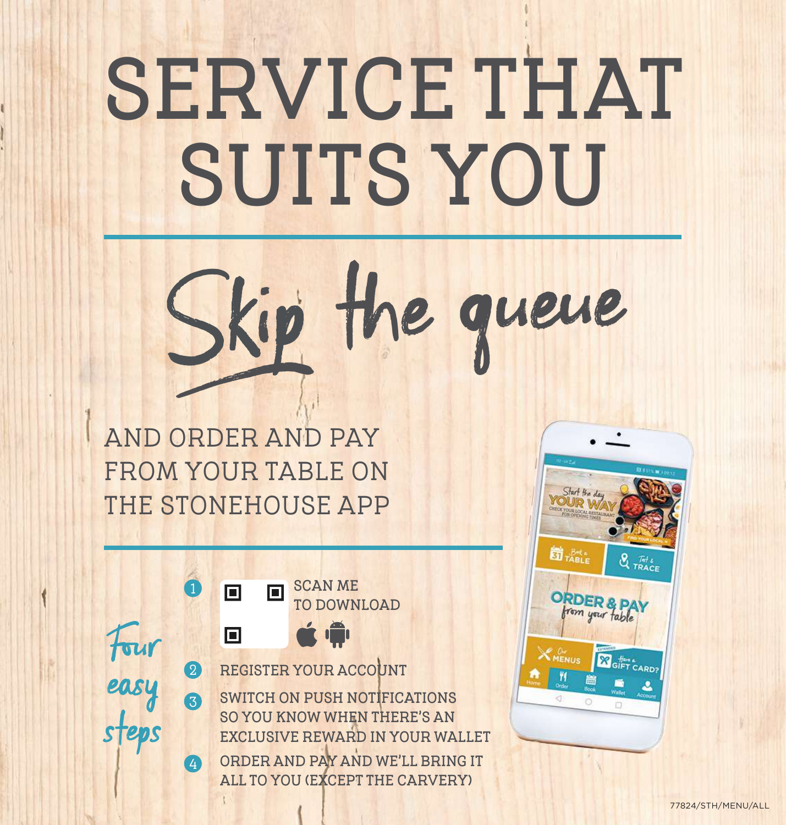# **SERVICE THAT SUITS YOU**



**AND ORDER AND PAY FROM YOUR TABLE ON THE STONEHOUSE APP**

**SCAN ME 1**  $\blacksquare$ **TO DOWNLOAD** Fourá Ô  $\Box$ easy **2 REGISTER YOUR ACCOUNT 3 SWITCH ON PUSH NOTIFICATIONS**  steps **SO YOU KNOW WHEN THERE'S AN EXCLUSIVE REWARD IN YOUR WALLET 4 ORDER AND PAY AND WE'LL BRING IT ALL TO YOU (EXCEPT THE CARVERY)**